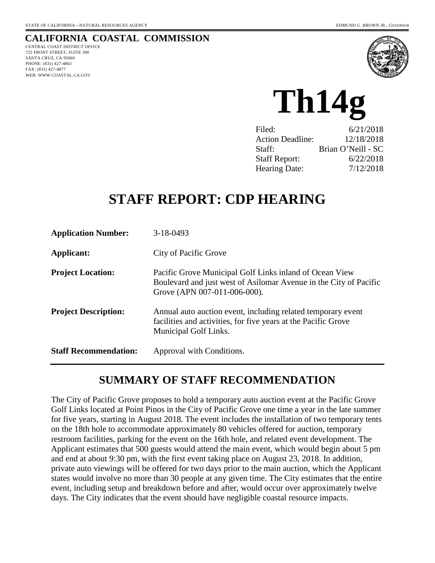#### **CALIFORNIA COASTAL COMMISSION**

CENTRAL COAST DISTRICT OFFICE 725 FRONT STREET, SUITE 300 SANTA CRUZ, CA 95060 PHONE: (831) 427-4863 FAX: (831) 427-4877 WEB: WWW.COASTAL.CA.GOV



**Th14g** 

| 6/21/2018          |
|--------------------|
| 12/18/2018         |
| Brian O'Neill - SC |
| 6/22/2018          |
| 7/12/2018          |
|                    |

# **STAFF REPORT: CDP HEARING**

| <b>Application Number:</b>   | $3-18-0493$                                                                                                                                                  |
|------------------------------|--------------------------------------------------------------------------------------------------------------------------------------------------------------|
| Applicant:                   | City of Pacific Grove                                                                                                                                        |
| <b>Project Location:</b>     | Pacific Grove Municipal Golf Links inland of Ocean View<br>Boulevard and just west of Asilomar Avenue in the City of Pacific<br>Grove (APN 007-011-006-000). |
| <b>Project Description:</b>  | Annual auto auction event, including related temporary event<br>facilities and activities, for five years at the Pacific Grove<br>Municipal Golf Links.      |
| <b>Staff Recommendation:</b> | Approval with Conditions.                                                                                                                                    |

## **SUMMARY OF STAFF RECOMMENDATION**

The City of Pacific Grove proposes to hold a temporary auto auction event at the Pacific Grove Golf Links located at Point Pinos in the City of Pacific Grove one time a year in the late summer for five years, starting in August 2018. The event includes the installation of two temporary tents on the 18th hole to accommodate approximately 80 vehicles offered for auction, temporary restroom facilities, parking for the event on the 16th hole, and related event development. The Applicant estimates that 500 guests would attend the main event, which would begin about 5 pm and end at about 9:30 pm, with the first event taking place on August 23, 2018. In addition, private auto viewings will be offered for two days prior to the main auction, which the Applicant states would involve no more than 30 people at any given time. The City estimates that the entire event, including setup and breakdown before and after, would occur over approximately twelve days. The City indicates that the event should have negligible coastal resource impacts.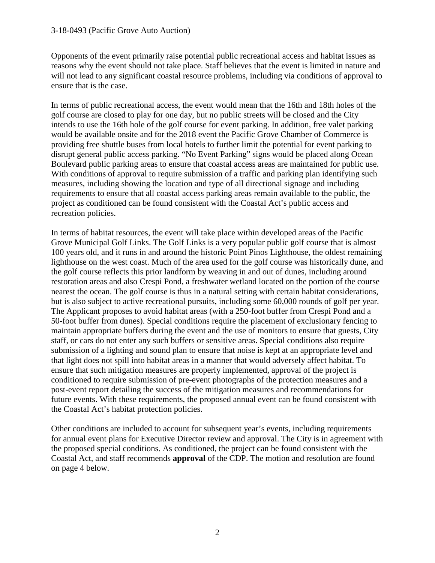#### 3-18-0493 (Pacific Grove Auto Auction)

Opponents of the event primarily raise potential public recreational access and habitat issues as reasons why the event should not take place. Staff believes that the event is limited in nature and will not lead to any significant coastal resource problems, including via conditions of approval to ensure that is the case.

In terms of public recreational access, the event would mean that the 16th and 18th holes of the golf course are closed to play for one day, but no public streets will be closed and the City intends to use the 16th hole of the golf course for event parking. In addition, free valet parking would be available onsite and for the 2018 event the Pacific Grove Chamber of Commerce is providing free shuttle buses from local hotels to further limit the potential for event parking to disrupt general public access parking. "No Event Parking" signs would be placed along Ocean Boulevard public parking areas to ensure that coastal access areas are maintained for public use. With conditions of approval to require submission of a traffic and parking plan identifying such measures, including showing the location and type of all directional signage and including requirements to ensure that all coastal access parking areas remain available to the public, the project as conditioned can be found consistent with the Coastal Act's public access and recreation policies.

In terms of habitat resources, the event will take place within developed areas of the Pacific Grove Municipal Golf Links. The Golf Links is a very popular public golf course that is almost 100 years old, and it runs in and around the historic Point Pinos Lighthouse, the oldest remaining lighthouse on the west coast. Much of the area used for the golf course was historically dune, and the golf course reflects this prior landform by weaving in and out of dunes, including around restoration areas and also Crespi Pond, a freshwater wetland located on the portion of the course nearest the ocean. The golf course is thus in a natural setting with certain habitat considerations, but is also subject to active recreational pursuits, including some 60,000 rounds of golf per year. The Applicant proposes to avoid habitat areas (with a 250-foot buffer from Crespi Pond and a 50-foot buffer from dunes). Special conditions require the placement of exclusionary fencing to maintain appropriate buffers during the event and the use of monitors to ensure that guests, City staff, or cars do not enter any such buffers or sensitive areas. Special conditions also require submission of a lighting and sound plan to ensure that noise is kept at an appropriate level and that light does not spill into habitat areas in a manner that would adversely affect habitat. To ensure that such mitigation measures are properly implemented, approval of the project is conditioned to require submission of pre-event photographs of the protection measures and a post-event report detailing the success of the mitigation measures and recommendations for future events. With these requirements, the proposed annual event can be found consistent with the Coastal Act's habitat protection policies.

Other conditions are included to account for subsequent year's events, including requirements for annual event plans for Executive Director review and approval. The City is in agreement with the proposed special conditions. As conditioned, the project can be found consistent with the Coastal Act, and staff recommends **approval** of the CDP. The motion and resolution are found on page 4 below.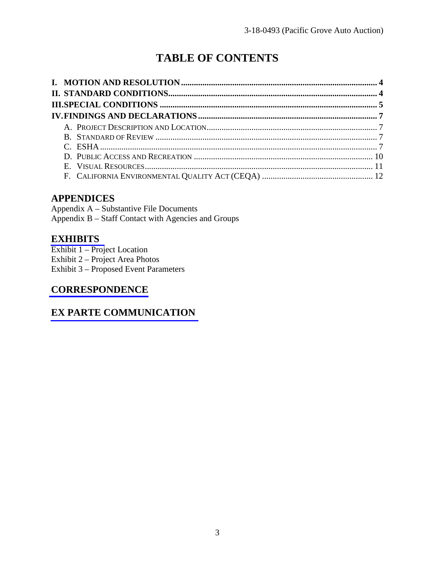# **TABLE OF CONTENTS**

### **APPENDICES**

Appendix A – Substantive File Documents Appendix B – Staff Contact with Agencies and Groups

#### **[EXHIBITS](https://documents.coastal.ca.gov/reports/2018/6/th14g/th14g-6-2018-exhibits.pdf)**

Exhibit 1 – Project Location Exhibit 2 – Project Area Photos Exhibit 3 – Proposed Event Parameters

## **[CORRESPONDENCE](https://documents.coastal.ca.gov/reports/2018/6/th14g/th14g-6-2018-corresp.pdf)**

### **[EX PARTE COMMUNICATION](https://documents.coastal.ca.gov/reports/2018/6/th14g/th14g-6-2018-exparte.pdf)**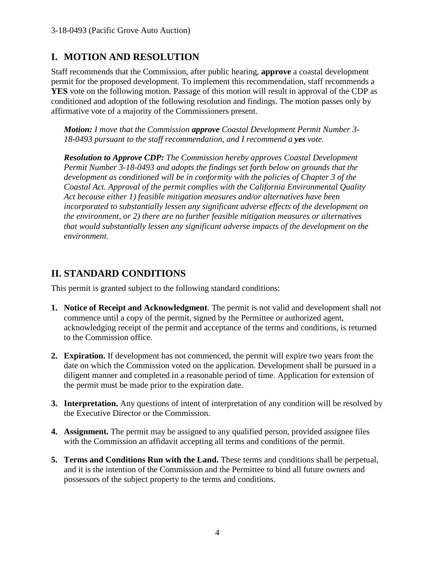### **I. MOTION AND RESOLUTION**

Staff recommends that the Commission, after public hearing, **approve** a coastal development permit for the proposed development. To implement this recommendation, staff recommends a **YES** vote on the following motion. Passage of this motion will result in approval of the CDP as conditioned and adoption of the following resolution and findings. The motion passes only by affirmative vote of a majority of the Commissioners present.

*Motion: I move that the Commission approve Coastal Development Permit Number 3- 18-0493 pursuant to the staff recommendation, and I recommend a yes vote.* 

*Resolution to Approve CDP: The Commission hereby approves Coastal Development Permit Number 3-18-0493 and adopts the findings set forth below on grounds that the development as conditioned will be in conformity with the policies of Chapter 3 of the Coastal Act. Approval of the permit complies with the California Environmental Quality Act because either 1) feasible mitigation measures and/or alternatives have been incorporated to substantially lessen any significant adverse effects of the development on the environment, or 2) there are no further feasible mitigation measures or alternatives that would substantially lessen any significant adverse impacts of the development on the environment.* 

### **II. STANDARD CONDITIONS**

This permit is granted subject to the following standard conditions:

- **1. Notice of Receipt and Acknowledgment**. The permit is not valid and development shall not commence until a copy of the permit, signed by the Permittee or authorized agent, acknowledging receipt of the permit and acceptance of the terms and conditions, is returned to the Commission office.
- **2. Expiration.** If development has not commenced, the permit will expire two years from the date on which the Commission voted on the application. Development shall be pursued in a diligent manner and completed in a reasonable period of time. Application for extension of the permit must be made prior to the expiration date.
- **3. Interpretation.** Any questions of intent of interpretation of any condition will be resolved by the Executive Director or the Commission.
- **4. Assignment.** The permit may be assigned to any qualified person, provided assignee files with the Commission an affidavit accepting all terms and conditions of the permit.
- **5. Terms and Conditions Run with the Land.** These terms and conditions shall be perpetual, and it is the intention of the Commission and the Permittee to bind all future owners and possessors of the subject property to the terms and conditions.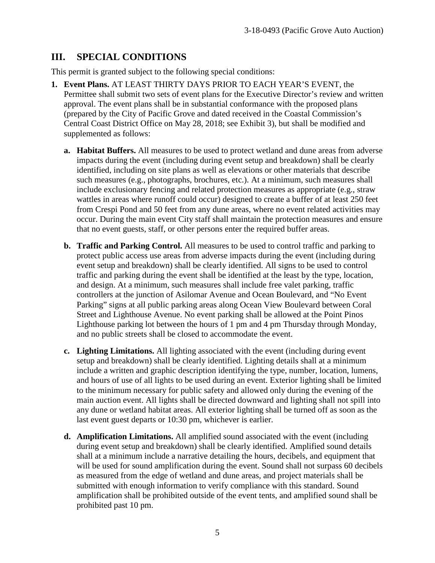### **III. SPECIAL CONDITIONS**

This permit is granted subject to the following special conditions:

- **1. Event Plans.** AT LEAST THIRTY DAYS PRIOR TO EACH YEAR'S EVENT, the Permittee shall submit two sets of event plans for the Executive Director's review and written approval. The event plans shall be in substantial conformance with the proposed plans (prepared by the City of Pacific Grove and dated received in the Coastal Commission's Central Coast District Office on May 28, 2018; see Exhibit 3), but shall be modified and supplemented as follows:
	- **a. Habitat Buffers.** All measures to be used to protect wetland and dune areas from adverse impacts during the event (including during event setup and breakdown) shall be clearly identified, including on site plans as well as elevations or other materials that describe such measures (e.g., photographs, brochures, etc.). At a minimum, such measures shall include exclusionary fencing and related protection measures as appropriate (e.g., straw wattles in areas where runoff could occur) designed to create a buffer of at least 250 feet from Crespi Pond and 50 feet from any dune areas, where no event related activities may occur. During the main event City staff shall maintain the protection measures and ensure that no event guests, staff, or other persons enter the required buffer areas.
	- **b. Traffic and Parking Control.** All measures to be used to control traffic and parking to protect public access use areas from adverse impacts during the event (including during event setup and breakdown) shall be clearly identified. All signs to be used to control traffic and parking during the event shall be identified at the least by the type, location, and design. At a minimum, such measures shall include free valet parking, traffic controllers at the junction of Asilomar Avenue and Ocean Boulevard, and "No Event Parking" signs at all public parking areas along Ocean View Boulevard between Coral Street and Lighthouse Avenue. No event parking shall be allowed at the Point Pinos Lighthouse parking lot between the hours of 1 pm and 4 pm Thursday through Monday, and no public streets shall be closed to accommodate the event.
	- **c. Lighting Limitations.** All lighting associated with the event (including during event setup and breakdown) shall be clearly identified. Lighting details shall at a minimum include a written and graphic description identifying the type, number, location, lumens, and hours of use of all lights to be used during an event. Exterior lighting shall be limited to the minimum necessary for public safety and allowed only during the evening of the main auction event. All lights shall be directed downward and lighting shall not spill into any dune or wetland habitat areas. All exterior lighting shall be turned off as soon as the last event guest departs or 10:30 pm, whichever is earlier.
	- **d. Amplification Limitations.** All amplified sound associated with the event (including during event setup and breakdown) shall be clearly identified. Amplified sound details shall at a minimum include a narrative detailing the hours, decibels, and equipment that will be used for sound amplification during the event. Sound shall not surpass 60 decibels as measured from the edge of wetland and dune areas, and project materials shall be submitted with enough information to verify compliance with this standard. Sound amplification shall be prohibited outside of the event tents, and amplified sound shall be prohibited past 10 pm.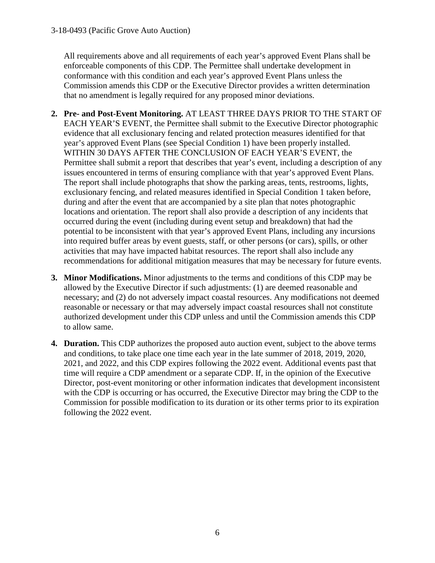All requirements above and all requirements of each year's approved Event Plans shall be enforceable components of this CDP. The Permittee shall undertake development in conformance with this condition and each year's approved Event Plans unless the Commission amends this CDP or the Executive Director provides a written determination that no amendment is legally required for any proposed minor deviations.

- **2. Pre- and Post-Event Monitoring.** AT LEAST THREE DAYS PRIOR TO THE START OF EACH YEAR'S EVENT, the Permittee shall submit to the Executive Director photographic evidence that all exclusionary fencing and related protection measures identified for that year's approved Event Plans (see Special Condition 1) have been properly installed. WITHIN 30 DAYS AFTER THE CONCLUSION OF EACH YEAR'S EVENT, the Permittee shall submit a report that describes that year's event, including a description of any issues encountered in terms of ensuring compliance with that year's approved Event Plans. The report shall include photographs that show the parking areas, tents, restrooms, lights, exclusionary fencing, and related measures identified in Special Condition 1 taken before, during and after the event that are accompanied by a site plan that notes photographic locations and orientation. The report shall also provide a description of any incidents that occurred during the event (including during event setup and breakdown) that had the potential to be inconsistent with that year's approved Event Plans, including any incursions into required buffer areas by event guests, staff, or other persons (or cars), spills, or other activities that may have impacted habitat resources. The report shall also include any recommendations for additional mitigation measures that may be necessary for future events.
- **3. Minor Modifications.** Minor adjustments to the terms and conditions of this CDP may be allowed by the Executive Director if such adjustments: (1) are deemed reasonable and necessary; and (2) do not adversely impact coastal resources. Any modifications not deemed reasonable or necessary or that may adversely impact coastal resources shall not constitute authorized development under this CDP unless and until the Commission amends this CDP to allow same.
- **4. Duration.** This CDP authorizes the proposed auto auction event, subject to the above terms and conditions, to take place one time each year in the late summer of 2018, 2019, 2020, 2021, and 2022, and this CDP expires following the 2022 event. Additional events past that time will require a CDP amendment or a separate CDP. If, in the opinion of the Executive Director, post-event monitoring or other information indicates that development inconsistent with the CDP is occurring or has occurred, the Executive Director may bring the CDP to the Commission for possible modification to its duration or its other terms prior to its expiration following the 2022 event.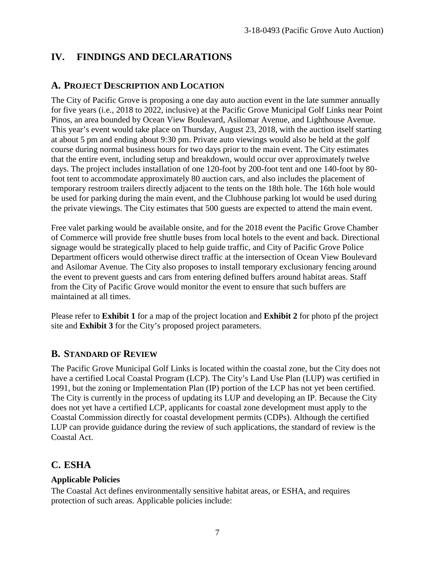## **IV. FINDINGS AND DECLARATIONS**

#### **A. PROJECT DESCRIPTION AND LOCATION**

The City of Pacific Grove is proposing a one day auto auction event in the late summer annually for five years (i.e., 2018 to 2022, inclusive) at the Pacific Grove Municipal Golf Links near Point Pinos, an area bounded by Ocean View Boulevard, Asilomar Avenue, and Lighthouse Avenue. This year's event would take place on Thursday, August 23, 2018, with the auction itself starting at about 5 pm and ending about 9:30 pm. Private auto viewings would also be held at the golf course during normal business hours for two days prior to the main event. The City estimates that the entire event, including setup and breakdown, would occur over approximately twelve days. The project includes installation of one 120-foot by 200-foot tent and one 140-foot by 80 foot tent to accommodate approximately 80 auction cars, and also includes the placement of temporary restroom trailers directly adjacent to the tents on the 18th hole. The 16th hole would be used for parking during the main event, and the Clubhouse parking lot would be used during the private viewings. The City estimates that 500 guests are expected to attend the main event.

Free valet parking would be available onsite, and for the 2018 event the Pacific Grove Chamber of Commerce will provide free shuttle buses from local hotels to the event and back. Directional signage would be strategically placed to help guide traffic, and City of Pacific Grove Police Department officers would otherwise direct traffic at the intersection of Ocean View Boulevard and Asilomar Avenue. The City also proposes to install temporary exclusionary fencing around the event to prevent guests and cars from entering defined buffers around habitat areas. Staff from the City of Pacific Grove would monitor the event to ensure that such buffers are maintained at all times.

Please refer to **Exhibit 1** for a map of the project location and **Exhibit 2** for photo pf the project site and **Exhibit 3** for the City's proposed project parameters.

#### **B. STANDARD OF REVIEW**

The Pacific Grove Municipal Golf Links is located within the coastal zone, but the City does not have a certified Local Coastal Program (LCP). The City's Land Use Plan (LUP) was certified in 1991, but the zoning or Implementation Plan (IP) portion of the LCP has not yet been certified. The City is currently in the process of updating its LUP and developing an IP. Because the City does not yet have a certified LCP, applicants for coastal zone development must apply to the Coastal Commission directly for coastal development permits (CDPs). Although the certified LUP can provide guidance during the review of such applications, the standard of review is the Coastal Act.

### **C. ESHA**

#### **Applicable Policies**

The Coastal Act defines environmentally sensitive habitat areas, or ESHA, and requires protection of such areas. Applicable policies include: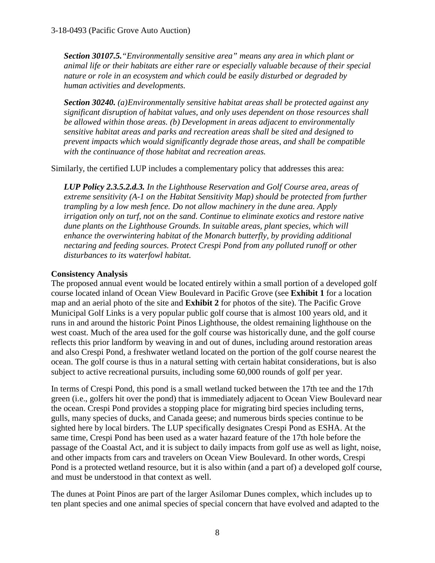*Section 30107.5."Environmentally sensitive area" means any area in which plant or animal life or their habitats are either rare or especially valuable because of their special nature or role in an ecosystem and which could be easily disturbed or degraded by human activities and developments.* 

*Section 30240. (a) Environmentally sensitive habitat areas shall be protected against any significant disruption of habitat values, and only uses dependent on those resources shall be allowed within those areas. (b) Development in areas adjacent to environmentally sensitive habitat areas and parks and recreation areas shall be sited and designed to prevent impacts which would significantly degrade those areas, and shall be compatible with the continuance of those habitat and recreation areas.*

Similarly, the certified LUP includes a complementary policy that addresses this area:

*LUP Policy 2.3.5.2.d.3. In the Lighthouse Reservation and Golf Course area, areas of extreme sensitivity (A-1 on the Habitat Sensitivity Map) should be protected from further trampling by a low mesh fence. Do not allow machinery in the dune area. Apply irrigation only on turf, not on the sand. Continue to eliminate exotics and restore native*  dune plants on the Lighthouse Grounds. In suitable areas, plant species, which will *enhance the overwintering habitat of the Monarch butterfly, by providing additional nectaring and feeding sources. Protect Crespi Pond from any polluted runoff or other disturbances to its waterfowl habitat.* 

#### **Consistency Analysis**

The proposed annual event would be located entirely within a small portion of a developed golf course located inland of Ocean View Boulevard in Pacific Grove (see **Exhibit 1** for a location map and an aerial photo of the site and **Exhibit 2** for photos of the site). The Pacific Grove Municipal Golf Links is a very popular public golf course that is almost 100 years old, and it runs in and around the historic Point Pinos Lighthouse, the oldest remaining lighthouse on the west coast. Much of the area used for the golf course was historically dune, and the golf course reflects this prior landform by weaving in and out of dunes, including around restoration areas and also Crespi Pond, a freshwater wetland located on the portion of the golf course nearest the ocean. The golf course is thus in a natural setting with certain habitat considerations, but is also subject to active recreational pursuits, including some 60,000 rounds of golf per year.

In terms of Crespi Pond, this pond is a small wetland tucked between the 17th tee and the 17th green (i.e., golfers hit over the pond) that is immediately adjacent to Ocean View Boulevard near the ocean. Crespi Pond provides a stopping place for migrating bird species including terns, gulls, many species of ducks, and Canada geese; and numerous birds species continue to be sighted here by local birders. The LUP specifically designates Crespi Pond as ESHA. At the same time, Crespi Pond has been used as a water hazard feature of the 17th hole before the passage of the Coastal Act, and it is subject to daily impacts from golf use as well as light, noise, and other impacts from cars and travelers on Ocean View Boulevard. In other words, Crespi Pond is a protected wetland resource, but it is also within (and a part of) a developed golf course, and must be understood in that context as well.

The dunes at Point Pinos are part of the larger Asilomar Dunes complex, which includes up to ten plant species and one animal species of special concern that have evolved and adapted to the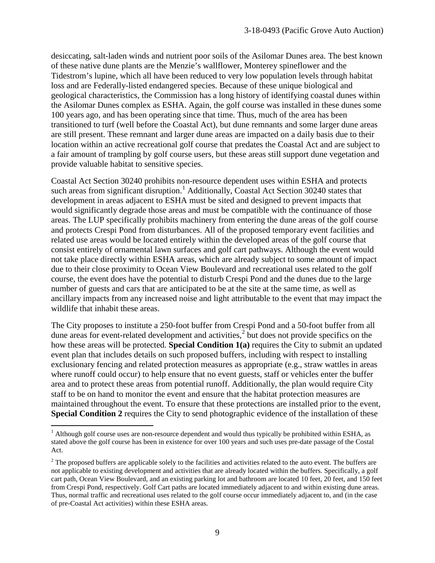desiccating, salt-laden winds and nutrient poor soils of the Asilomar Dunes area. The best known of these native dune plants are the Menzie's wallflower, Monterey spineflower and the Tidestrom's lupine, which all have been reduced to very low population levels through habitat loss and are Federally-listed endangered species. Because of these unique biological and geological characteristics, the Commission has a long history of identifying coastal dunes within the Asilomar Dunes complex as ESHA. Again, the golf course was installed in these dunes some 100 years ago, and has been operating since that time. Thus, much of the area has been transitioned to turf (well before the Coastal Act), but dune remnants and some larger dune areas are still present. These remnant and larger dune areas are impacted on a daily basis due to their location within an active recreational golf course that predates the Coastal Act and are subject to a fair amount of trampling by golf course users, but these areas still support dune vegetation and provide valuable habitat to sensitive species.

Coastal Act Section 30240 prohibits non-resource dependent uses within ESHA and protects such areas from significant disruption.<sup>[1](#page-8-0)</sup> Additionally, Coastal Act Section 30240 states that development in areas adjacent to ESHA must be sited and designed to prevent impacts that would significantly degrade those areas and must be compatible with the continuance of those areas. The LUP specifically prohibits machinery from entering the dune areas of the golf course and protects Crespi Pond from disturbances. All of the proposed temporary event facilities and related use areas would be located entirely within the developed areas of the golf course that consist entirely of ornamental lawn surfaces and golf cart pathways. Although the event would not take place directly within ESHA areas, which are already subject to some amount of impact due to their close proximity to Ocean View Boulevard and recreational uses related to the golf course, the event does have the potential to disturb Crespi Pond and the dunes due to the large number of guests and cars that are anticipated to be at the site at the same time, as well as ancillary impacts from any increased noise and light attributable to the event that may impact the wildlife that inhabit these areas.

The City proposes to institute a 250-foot buffer from Crespi Pond and a 50-foot buffer from all dune areas for event-related development and activities, $\frac{2}{3}$  $\frac{2}{3}$  $\frac{2}{3}$  but does not provide specifics on the how these areas will be protected. **Special Condition 1(a)** requires the City to submit an updated event plan that includes details on such proposed buffers, including with respect to installing exclusionary fencing and related protection measures as appropriate (e.g., straw wattles in areas where runoff could occur) to help ensure that no event guests, staff or vehicles enter the buffer area and to protect these areas from potential runoff. Additionally, the plan would require City staff to be on hand to monitor the event and ensure that the habitat protection measures are maintained throughout the event. To ensure that these protections are installed prior to the event, **Special Condition 2** requires the City to send photographic evidence of the installation of these

 $\overline{a}$ 

<span id="page-8-0"></span> $<sup>1</sup>$  Although golf course uses are non-resource dependent and would thus typically be prohibited within ESHA, as</sup> stated above the golf course has been in existence for over 100 years and such uses pre-date passage of the Costal Act.

<span id="page-8-1"></span><sup>&</sup>lt;sup>2</sup> The proposed buffers are applicable solely to the facilities and activities related to the auto event. The buffers are not applicable to existing development and activities that are already located within the buffers. Specifically, a golf cart path, Ocean View Boulevard, and an existing parking lot and bathroom are located 10 feet, 20 feet, and 150 feet from Crespi Pond, respectively. Golf Cart paths are located immediately adjacent to and within existing dune areas. Thus, normal traffic and recreational uses related to the golf course occur immediately adjacent to, and (in the case of pre-Coastal Act activities) within these ESHA areas.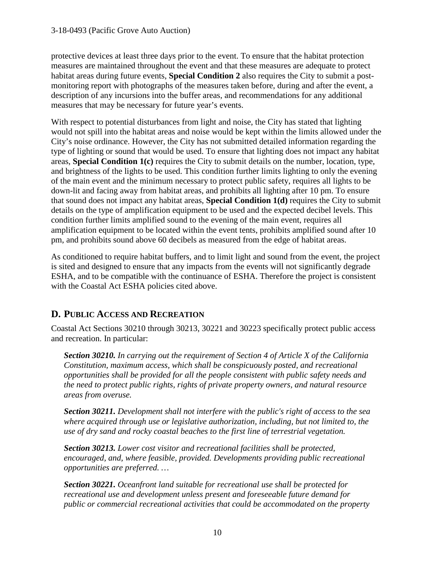#### 3-18-0493 (Pacific Grove Auto Auction)

protective devices at least three days prior to the event. To ensure that the habitat protection measures are maintained throughout the event and that these measures are adequate to protect habitat areas during future events, **Special Condition 2** also requires the City to submit a postmonitoring report with photographs of the measures taken before, during and after the event, a description of any incursions into the buffer areas, and recommendations for any additional measures that may be necessary for future year's events.

With respect to potential disturbances from light and noise, the City has stated that lighting would not spill into the habitat areas and noise would be kept within the limits allowed under the City's noise ordinance. However, the City has not submitted detailed information regarding the type of lighting or sound that would be used. To ensure that lighting does not impact any habitat areas, **Special Condition 1(c)** requires the City to submit details on the number, location, type, and brightness of the lights to be used. This condition further limits lighting to only the evening of the main event and the minimum necessary to protect public safety, requires all lights to be down-lit and facing away from habitat areas, and prohibits all lighting after 10 pm. To ensure that sound does not impact any habitat areas, **Special Condition 1(d)** requires the City to submit details on the type of amplification equipment to be used and the expected decibel levels. This condition further limits amplified sound to the evening of the main event, requires all amplification equipment to be located within the event tents, prohibits amplified sound after 10 pm, and prohibits sound above 60 decibels as measured from the edge of habitat areas.

As conditioned to require habitat buffers, and to limit light and sound from the event, the project is sited and designed to ensure that any impacts from the events will not significantly degrade ESHA, and to be compatible with the continuance of ESHA. Therefore the project is consistent with the Coastal Act ESHA policies cited above.

### **D. PUBLIC ACCESS AND RECREATION**

Coastal Act Sections 30210 through 30213, 30221 and 30223 specifically protect public access and recreation. In particular:

*Section 30210. In carrying out the requirement of Section 4 of Article X of the California Constitution, maximum access, which shall be conspicuously posted, and recreational opportunities shall be provided for all the people consistent with public safety needs and the need to protect public rights, rights of private property owners, and natural resource areas from overuse.* 

*Section 30211. Development shall not interfere with the public's right of access to the sea where acquired through use or legislative authorization, including, but not limited to, the use of dry sand and rocky coastal beaches to the first line of terrestrial vegetation.* 

*Section 30213. Lower cost visitor and recreational facilities shall be protected, encouraged, and, where feasible, provided. Developments providing public recreational opportunities are preferred. …* 

*Section 30221. Oceanfront land suitable for recreational use shall be protected for recreational use and development unless present and foreseeable future demand for public or commercial recreational activities that could be accommodated on the property*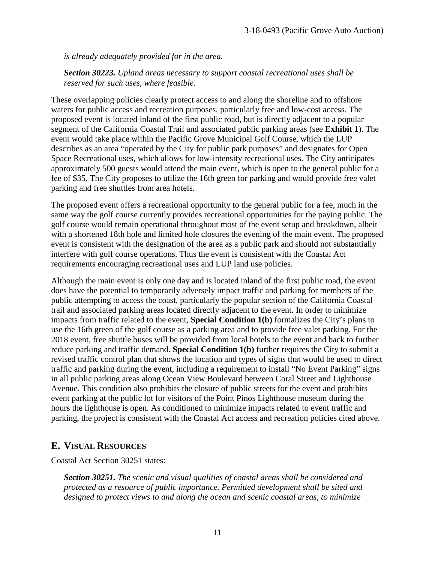*is already adequately provided for in the area.* 

*Section 30223. Upland areas necessary to support coastal recreational uses shall be reserved for such uses, where feasible.*

These overlapping policies clearly protect access to and along the shoreline and to offshore waters for public access and recreation purposes, particularly free and low-cost access. The proposed event is located inland of the first public road, but is directly adjacent to a popular segment of the California Coastal Trail and associated public parking areas (see **Exhibit 1**). The event would take place within the Pacific Grove Municipal Golf Course, which the LUP describes as an area "operated by the City for public park purposes" and designates for Open Space Recreational uses, which allows for low-intensity recreational uses. The City anticipates approximately 500 guests would attend the main event, which is open to the general public for a fee of \$35. The City proposes to utilize the 16th green for parking and would provide free valet parking and free shuttles from area hotels.

The proposed event offers a recreational opportunity to the general public for a fee, much in the same way the golf course currently provides recreational opportunities for the paying public. The golf course would remain operational throughout most of the event setup and breakdown, albeit with a shortened 18th hole and limited hole closures the evening of the main event. The proposed event is consistent with the designation of the area as a public park and should not substantially interfere with golf course operations. Thus the event is consistent with the Coastal Act requirements encouraging recreational uses and LUP land use policies.

Although the main event is only one day and is located inland of the first public road, the event does have the potential to temporarily adversely impact traffic and parking for members of the public attempting to access the coast, particularly the popular section of the California Coastal trail and associated parking areas located directly adjacent to the event. In order to minimize impacts from traffic related to the event, **Special Condition 1(b)** formalizes the City's plans to use the 16th green of the golf course as a parking area and to provide free valet parking. For the 2018 event, free shuttle buses will be provided from local hotels to the event and back to further reduce parking and traffic demand. **Special Condition 1(b)** further requires the City to submit a revised traffic control plan that shows the location and types of signs that would be used to direct traffic and parking during the event, including a requirement to install "No Event Parking" signs in all public parking areas along Ocean View Boulevard between Coral Street and Lighthouse Avenue. This condition also prohibits the closure of public streets for the event and prohibits event parking at the public lot for visitors of the Point Pinos Lighthouse museum during the hours the lighthouse is open. As conditioned to minimize impacts related to event traffic and parking, the project is consistent with the Coastal Act access and recreation policies cited above.

#### **E. VISUAL RESOURCES**

Coastal Act Section 30251 states:

*Section 30251. The scenic and visual qualities of coastal areas shall be considered and protected as a resource of public importance. Permitted development shall be sited and designed to protect views to and along the ocean and scenic coastal areas, to minimize*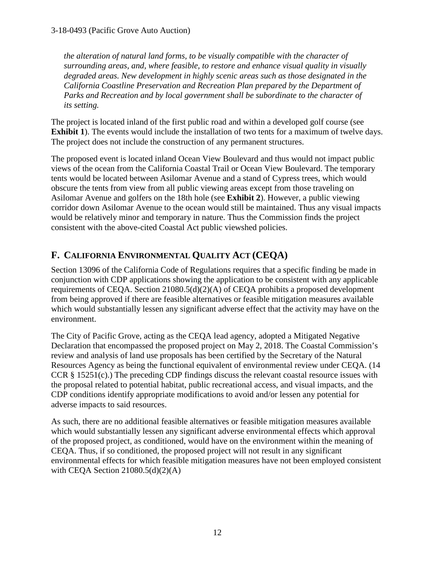*the alteration of natural land forms, to be visually compatible with the character of surrounding areas, and, where feasible, to restore and enhance visual quality in visually degraded areas. New development in highly scenic areas such as those designated in the California Coastline Preservation and Recreation Plan prepared by the Department of Parks and Recreation and by local government shall be subordinate to the character of its setting.*

The project is located inland of the first public road and within a developed golf course (see **Exhibit 1**). The events would include the installation of two tents for a maximum of twelve days. The project does not include the construction of any permanent structures.

The proposed event is located inland Ocean View Boulevard and thus would not impact public views of the ocean from the California Coastal Trail or Ocean View Boulevard. The temporary tents would be located between Asilomar Avenue and a stand of Cypress trees, which would obscure the tents from view from all public viewing areas except from those traveling on Asilomar Avenue and golfers on the 18th hole (see **Exhibit 2**). However, a public viewing corridor down Asilomar Avenue to the ocean would still be maintained. Thus any visual impacts would be relatively minor and temporary in nature. Thus the Commission finds the project consistent with the above-cited Coastal Act public viewshed policies.

## **F. CALIFORNIA ENVIRONMENTAL QUALITY ACT (CEQA)**

Section 13096 of the California Code of Regulations requires that a specific finding be made in conjunction with CDP applications showing the application to be consistent with any applicable requirements of CEQA. Section 21080.5(d)(2)(A) of CEQA prohibits a proposed development from being approved if there are feasible alternatives or feasible mitigation measures available which would substantially lessen any significant adverse effect that the activity may have on the environment.

The City of Pacific Grove, acting as the CEQA lead agency, adopted a Mitigated Negative Declaration that encompassed the proposed project on May 2, 2018. The Coastal Commission's review and analysis of land use proposals has been certified by the Secretary of the Natural Resources Agency as being the functional equivalent of environmental review under CEQA. (14 CCR § 15251(c).) The preceding CDP findings discuss the relevant coastal resource issues with the proposal related to potential habitat, public recreational access, and visual impacts, and the CDP conditions identify appropriate modifications to avoid and/or lessen any potential for adverse impacts to said resources.

As such, there are no additional feasible alternatives or feasible mitigation measures available which would substantially lessen any significant adverse environmental effects which approval of the proposed project, as conditioned, would have on the environment within the meaning of CEQA. Thus, if so conditioned, the proposed project will not result in any significant environmental effects for which feasible mitigation measures have not been employed consistent with CEQA Section  $21080.5(d)(2)(A)$